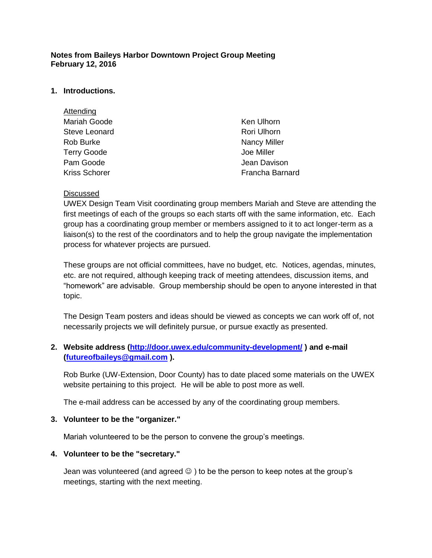#### **Notes from Baileys Harbor Downtown Project Group Meeting February 12, 2016**

#### **1. Introductions.**

| Attending            |                     |
|----------------------|---------------------|
| Mariah Goode         | Ken Ulhorn          |
| <b>Steve Leonard</b> | Rori Ulhorn         |
| Rob Burke            | <b>Nancy Miller</b> |
| <b>Terry Goode</b>   | Joe Miller          |
| Pam Goode            | Jean Davison        |
| Kriss Schorer        | Francha Barnard     |

#### **Discussed**

UWEX Design Team Visit coordinating group members Mariah and Steve are attending the first meetings of each of the groups so each starts off with the same information, etc. Each group has a coordinating group member or members assigned to it to act longer-term as a liaison(s) to the rest of the coordinators and to help the group navigate the implementation process for whatever projects are pursued.

These groups are not official committees, have no budget, etc. Notices, agendas, minutes, etc. are not required, although keeping track of meeting attendees, discussion items, and "homework" are advisable. Group membership should be open to anyone interested in that topic.

The Design Team posters and ideas should be viewed as concepts we can work off of, not necessarily projects we will definitely pursue, or pursue exactly as presented.

### **2. Website address [\(http://door.uwex.edu/community-development/](http://door.uwex.edu/community-development/) ) and e-mail [\(futureofbaileys@gmail.com](mailto:futureofbaileys@gmail.com) ).**

Rob Burke (UW-Extension, Door County) has to date placed some materials on the UWEX website pertaining to this project. He will be able to post more as well.

The e-mail address can be accessed by any of the coordinating group members.

#### **3. Volunteer to be the "organizer."**

Mariah volunteered to be the person to convene the group's meetings.

#### **4. Volunteer to be the "secretary."**

Jean was volunteered (and agreed  $\odot$  ) to be the person to keep notes at the group's meetings, starting with the next meeting.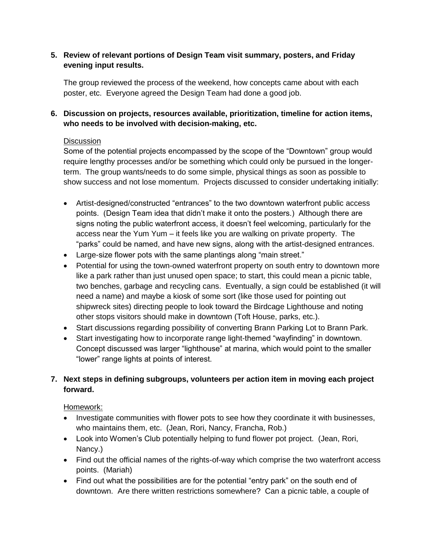### **5. Review of relevant portions of Design Team visit summary, posters, and Friday evening input results.**

The group reviewed the process of the weekend, how concepts came about with each poster, etc. Everyone agreed the Design Team had done a good job.

# **6. Discussion on projects, resources available, prioritization, timeline for action items, who needs to be involved with decision-making, etc.**

# **Discussion**

Some of the potential projects encompassed by the scope of the "Downtown" group would require lengthy processes and/or be something which could only be pursued in the longerterm. The group wants/needs to do some simple, physical things as soon as possible to show success and not lose momentum. Projects discussed to consider undertaking initially:

- Artist-designed/constructed "entrances" to the two downtown waterfront public access points. (Design Team idea that didn't make it onto the posters.) Although there are signs noting the public waterfront access, it doesn't feel welcoming, particularly for the access near the Yum Yum – it feels like you are walking on private property. The "parks" could be named, and have new signs, along with the artist-designed entrances.
- Large-size flower pots with the same plantings along "main street."
- Potential for using the town-owned waterfront property on south entry to downtown more like a park rather than just unused open space; to start, this could mean a picnic table, two benches, garbage and recycling cans. Eventually, a sign could be established (it will need a name) and maybe a kiosk of some sort (like those used for pointing out shipwreck sites) directing people to look toward the Birdcage Lighthouse and noting other stops visitors should make in downtown (Toft House, parks, etc.).
- Start discussions regarding possibility of converting Brann Parking Lot to Brann Park.
- Start investigating how to incorporate range light-themed "wayfinding" in downtown. Concept discussed was larger "lighthouse" at marina, which would point to the smaller "lower" range lights at points of interest.

# **7. Next steps in defining subgroups, volunteers per action item in moving each project forward.**

# Homework:

- Investigate communities with flower pots to see how they coordinate it with businesses, who maintains them, etc. (Jean, Rori, Nancy, Francha, Rob.)
- Look into Women's Club potentially helping to fund flower pot project. (Jean, Rori, Nancy.)
- Find out the official names of the rights-of-way which comprise the two waterfront access points. (Mariah)
- Find out what the possibilities are for the potential "entry park" on the south end of downtown. Are there written restrictions somewhere? Can a picnic table, a couple of